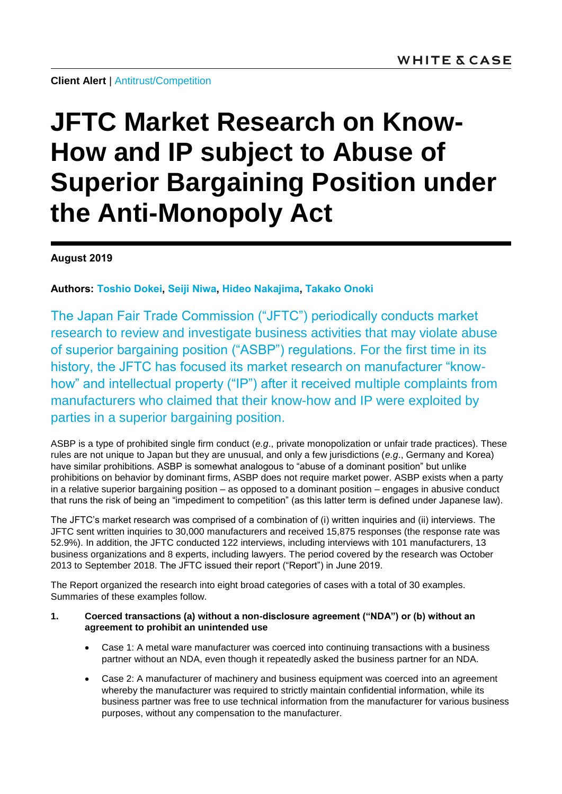**Client Alert** | [Antitrust/Competition](https://www.whitecase.com/law/practices/antitrust-competition)

# **JFTC Market Research on Know-How and IP subject to Abuse of Superior Bargaining Position under the Anti-Monopoly Act**

**August 2019**

**Authors: [Toshio Dokei,](https://www.whitecase.com/people/toshio-dokei) [Seiji Niwa,](https://www.whitecase.com/people/seiji-niwa) [Hideo Nakajima,](https://www.whitecase.com/people/hideo-nakajima) [Takako Onoki](https://www.whitecase.com/people/takako-onoki)**

The Japan Fair Trade Commission ("JFTC") periodically conducts market research to review and investigate business activities that may violate abuse of superior bargaining position ("ASBP") regulations. For the first time in its history, the JFTC has focused its market research on manufacturer "knowhow" and intellectual property ("IP") after it received multiple complaints from manufacturers who claimed that their know-how and IP were exploited by parties in a superior bargaining position.

ASBP is a type of prohibited single firm conduct (*e.g*., private monopolization or unfair trade practices). These rules are not unique to Japan but they are unusual, and only a few jurisdictions (*e.g*., Germany and Korea) have similar prohibitions. ASBP is somewhat analogous to "abuse of a dominant position" but unlike prohibitions on behavior by dominant firms, ASBP does not require market power. ASBP exists when a party in a relative superior bargaining position – as opposed to a dominant position – engages in abusive conduct that runs the risk of being an "impediment to competition" (as this latter term is defined under Japanese law).

The JFTC's market research was comprised of a combination of (i) written inquiries and (ii) interviews. The JFTC sent written inquiries to 30,000 manufacturers and received 15,875 responses (the response rate was 52.9%). In addition, the JFTC conducted 122 interviews, including interviews with 101 manufacturers, 13 business organizations and 8 experts, including lawyers. The period covered by the research was October 2013 to September 2018. The JFTC issued their report ("Report") in June 2019.

The Report organized the research into eight broad categories of cases with a total of 30 examples. Summaries of these examples follow.

# **1. Coerced transactions (a) without a non-disclosure agreement ("NDA") or (b) without an agreement to prohibit an unintended use**

- Case 1: A metal ware manufacturer was coerced into continuing transactions with a business partner without an NDA, even though it repeatedly asked the business partner for an NDA.
- Case 2: A manufacturer of machinery and business equipment was coerced into an agreement whereby the manufacturer was required to strictly maintain confidential information, while its business partner was free to use technical information from the manufacturer for various business purposes, without any compensation to the manufacturer.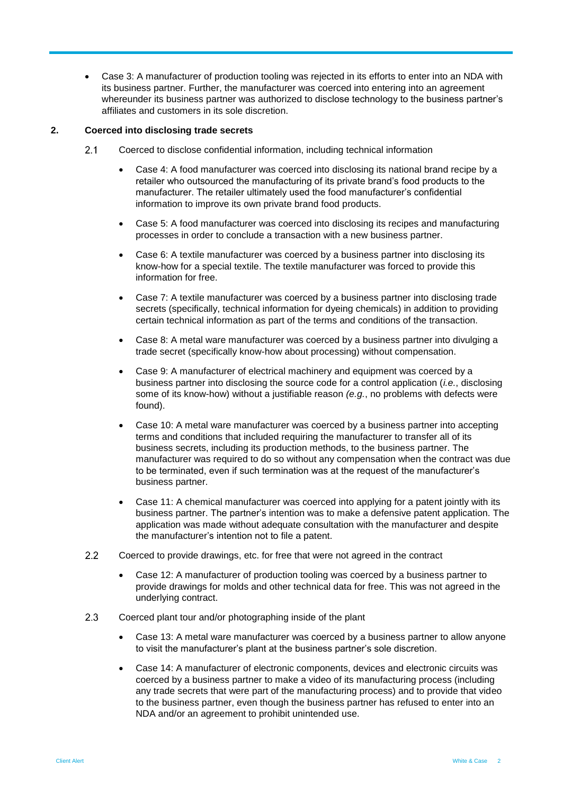Case 3: A manufacturer of production tooling was rejected in its efforts to enter into an NDA with its business partner. Further, the manufacturer was coerced into entering into an agreement whereunder its business partner was authorized to disclose technology to the business partner's affiliates and customers in its sole discretion.

# **2. Coerced into disclosing trade secrets**

- $2.1$ Coerced to disclose confidential information, including technical information
	- Case 4: A food manufacturer was coerced into disclosing its national brand recipe by a retailer who outsourced the manufacturing of its private brand's food products to the manufacturer. The retailer ultimately used the food manufacturer's confidential information to improve its own private brand food products.
	- Case 5: A food manufacturer was coerced into disclosing its recipes and manufacturing processes in order to conclude a transaction with a new business partner.
	- Case 6: A textile manufacturer was coerced by a business partner into disclosing its know-how for a special textile. The textile manufacturer was forced to provide this information for free.
	- Case 7: A textile manufacturer was coerced by a business partner into disclosing trade secrets (specifically, technical information for dyeing chemicals) in addition to providing certain technical information as part of the terms and conditions of the transaction.
	- Case 8: A metal ware manufacturer was coerced by a business partner into divulging a trade secret (specifically know-how about processing) without compensation.
	- Case 9: A manufacturer of electrical machinery and equipment was coerced by a business partner into disclosing the source code for a control application (*i.e.*, disclosing some of its know-how) without a justifiable reason *(e.g.*, no problems with defects were found).
	- Case 10: A metal ware manufacturer was coerced by a business partner into accepting terms and conditions that included requiring the manufacturer to transfer all of its business secrets, including its production methods, to the business partner. The manufacturer was required to do so without any compensation when the contract was due to be terminated, even if such termination was at the request of the manufacturer's business partner.
	- Case 11: A chemical manufacturer was coerced into applying for a patent jointly with its business partner. The partner's intention was to make a defensive patent application. The application was made without adequate consultation with the manufacturer and despite the manufacturer's intention not to file a patent.
- $2.2$ Coerced to provide drawings, etc. for free that were not agreed in the contract
	- Case 12: A manufacturer of production tooling was coerced by a business partner to provide drawings for molds and other technical data for free. This was not agreed in the underlying contract.
- $2.3$ Coerced plant tour and/or photographing inside of the plant
	- Case 13: A metal ware manufacturer was coerced by a business partner to allow anyone to visit the manufacturer's plant at the business partner's sole discretion.
	- Case 14: A manufacturer of electronic components, devices and electronic circuits was coerced by a business partner to make a video of its manufacturing process (including any trade secrets that were part of the manufacturing process) and to provide that video to the business partner, even though the business partner has refused to enter into an NDA and/or an agreement to prohibit unintended use.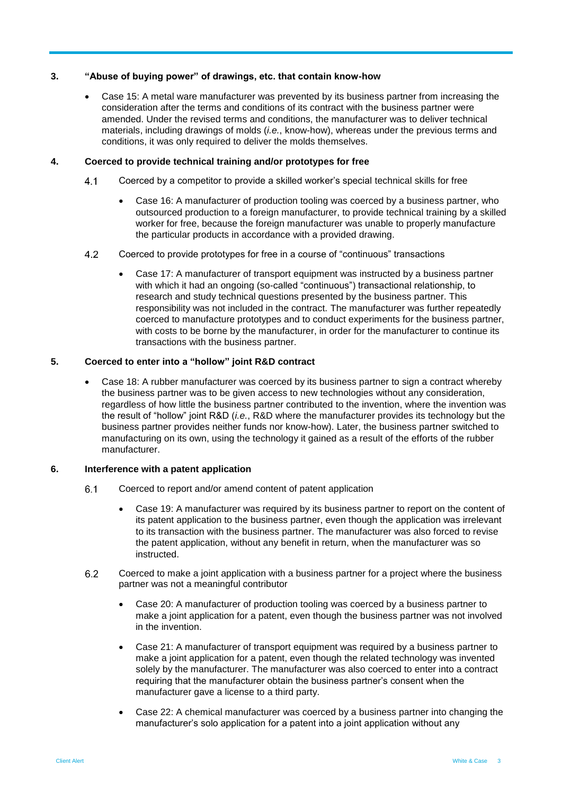# **3. "Abuse of buying power" of drawings, etc. that contain know-how**

 Case 15: A metal ware manufacturer was prevented by its business partner from increasing the consideration after the terms and conditions of its contract with the business partner were amended. Under the revised terms and conditions, the manufacturer was to deliver technical materials, including drawings of molds (*i.e.*, know-how), whereas under the previous terms and conditions, it was only required to deliver the molds themselves.

## **4. Coerced to provide technical training and/or prototypes for free**

- Coerced by a competitor to provide a skilled worker's special technical skills for free  $4.1$ 
	- Case 16: A manufacturer of production tooling was coerced by a business partner, who outsourced production to a foreign manufacturer, to provide technical training by a skilled worker for free, because the foreign manufacturer was unable to properly manufacture the particular products in accordance with a provided drawing.
- $4.2$ Coerced to provide prototypes for free in a course of "continuous" transactions
	- Case 17: A manufacturer of transport equipment was instructed by a business partner with which it had an ongoing (so-called "continuous") transactional relationship, to research and study technical questions presented by the business partner. This responsibility was not included in the contract. The manufacturer was further repeatedly coerced to manufacture prototypes and to conduct experiments for the business partner, with costs to be borne by the manufacturer, in order for the manufacturer to continue its transactions with the business partner.

# **5. Coerced to enter into a "hollow" joint R&D contract**

 Case 18: A rubber manufacturer was coerced by its business partner to sign a contract whereby the business partner was to be given access to new technologies without any consideration, regardless of how little the business partner contributed to the invention, where the invention was the result of "hollow" joint R&D (*i.e.*, R&D where the manufacturer provides its technology but the business partner provides neither funds nor know-how). Later, the business partner switched to manufacturing on its own, using the technology it gained as a result of the efforts of the rubber manufacturer.

## **6. Interference with a patent application**

- $6.1$ Coerced to report and/or amend content of patent application
	- Case 19: A manufacturer was required by its business partner to report on the content of its patent application to the business partner, even though the application was irrelevant to its transaction with the business partner. The manufacturer was also forced to revise the patent application, without any benefit in return, when the manufacturer was so instructed.
- $6.2$ Coerced to make a joint application with a business partner for a project where the business partner was not a meaningful contributor
	- Case 20: A manufacturer of production tooling was coerced by a business partner to make a joint application for a patent, even though the business partner was not involved in the invention.
	- Case 21: A manufacturer of transport equipment was required by a business partner to make a joint application for a patent, even though the related technology was invented solely by the manufacturer. The manufacturer was also coerced to enter into a contract requiring that the manufacturer obtain the business partner's consent when the manufacturer gave a license to a third party.
	- Case 22: A chemical manufacturer was coerced by a business partner into changing the manufacturer's solo application for a patent into a joint application without any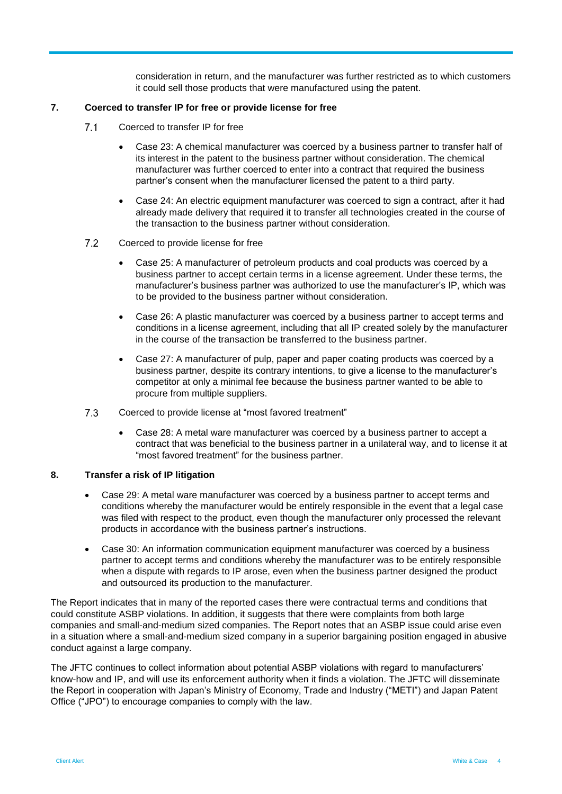consideration in return, and the manufacturer was further restricted as to which customers it could sell those products that were manufactured using the patent.

# **7. Coerced to transfer IP for free or provide license for free**

- $7.1$ Coerced to transfer IP for free
	- Case 23: A chemical manufacturer was coerced by a business partner to transfer half of its interest in the patent to the business partner without consideration. The chemical manufacturer was further coerced to enter into a contract that required the business partner's consent when the manufacturer licensed the patent to a third party.
	- Case 24: An electric equipment manufacturer was coerced to sign a contract, after it had already made delivery that required it to transfer all technologies created in the course of the transaction to the business partner without consideration.

#### $7.2$ Coerced to provide license for free

- Case 25: A manufacturer of petroleum products and coal products was coerced by a business partner to accept certain terms in a license agreement. Under these terms, the manufacturer's business partner was authorized to use the manufacturer's IP, which was to be provided to the business partner without consideration.
- Case 26: A plastic manufacturer was coerced by a business partner to accept terms and conditions in a license agreement, including that all IP created solely by the manufacturer in the course of the transaction be transferred to the business partner.
- Case 27: A manufacturer of pulp, paper and paper coating products was coerced by a business partner, despite its contrary intentions, to give a license to the manufacturer's competitor at only a minimal fee because the business partner wanted to be able to procure from multiple suppliers.
- $7.3$ Coerced to provide license at "most favored treatment"
	- Case 28: A metal ware manufacturer was coerced by a business partner to accept a contract that was beneficial to the business partner in a unilateral way, and to license it at "most favored treatment" for the business partner.

# **8. Transfer a risk of IP litigation**

- Case 29: A metal ware manufacturer was coerced by a business partner to accept terms and conditions whereby the manufacturer would be entirely responsible in the event that a legal case was filed with respect to the product, even though the manufacturer only processed the relevant products in accordance with the business partner's instructions.
- Case 30: An information communication equipment manufacturer was coerced by a business partner to accept terms and conditions whereby the manufacturer was to be entirely responsible when a dispute with regards to IP arose, even when the business partner designed the product and outsourced its production to the manufacturer.

The Report indicates that in many of the reported cases there were contractual terms and conditions that could constitute ASBP violations. In addition, it suggests that there were complaints from both large companies and small-and-medium sized companies. The Report notes that an ASBP issue could arise even in a situation where a small-and-medium sized company in a superior bargaining position engaged in abusive conduct against a large company.

The JFTC continues to collect information about potential ASBP violations with regard to manufacturers' know-how and IP, and will use its enforcement authority when it finds a violation. The JFTC will disseminate the Report in cooperation with Japan's Ministry of Economy, Trade and Industry ("METI") and Japan Patent Office ("JPO") to encourage companies to comply with the law.